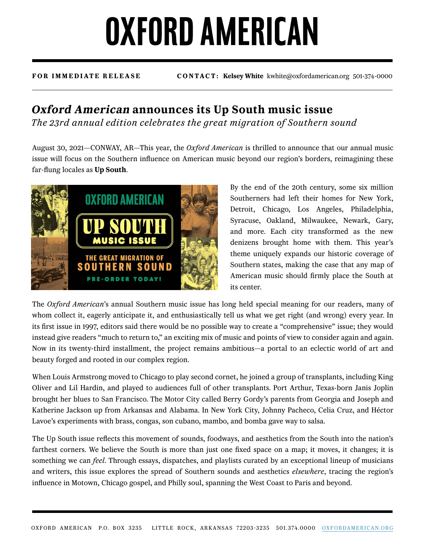## **OXFORD AMERICAN**

**FOR IMMEDIATE RELEASE CONTACT: Kelsey White** kwhite@oxfordamerican.org 501-374-0000

## **Oxford American announces its Up South music issue**

*The 23rd annual edition celebrates the great migration of Southern sound*

August 30, 2021—CONWAY, AR—This year, the *Oxford American* is thrilled to announce that our annual music issue will focus on the Southern influence on American music beyond our region's borders, reimagining these far-flung locales as **Up South**.



By the end of the 20th century, some six million Southerners had left their homes for New York, Detroit, Chicago, Los Angeles, Philadelphia, Syracuse, Oakland, Milwaukee, Newark, Gary, and more. Each city transformed as the new denizens brought home with them. This year's theme uniquely expands our historic coverage of Southern states, making the case that any map of American music should firmly place the South at its center.

The *Oxford American*'s annual Southern music issue has long held special meaning for our readers, many of whom collect it, eagerly anticipate it, and enthusiastically tell us what we get right (and wrong) every year. In its first issue in 1997, editors said there would be no possible way to create a "comprehensive" issue; they would instead give readers "much to return to," an exciting mix of music and points of view to consider again and again. Now in its twenty-third installment, the project remains ambitious—a portal to an eclectic world of art and beauty forged and rooted in our complex region.

When Louis Armstrong moved to Chicago to play second cornet, he joined a group of transplants, including King Oliver and Lil Hardin, and played to audiences full of other transplants. Port Arthur, Texas-born Janis Joplin brought her blues to San Francisco. The Motor City called Berry Gordy's parents from Georgia and Joseph and Katherine Jackson up from Arkansas and Alabama. In New York City, Johnny Pacheco, Celia Cruz, and Héctor Lavoe's experiments with brass, congas, son cubano, mambo, and bomba gave way to salsa.

The Up South issue reflects this movement of sounds, foodways, and aesthetics from the South into the nation's farthest corners. We believe the South is more than just one fixed space on a map; it moves, it changes; it is something we can *feel*. Through essays, dispatches, and playlists curated by an exceptional lineup of musicians and writers, this issue explores the spread of Southern sounds and aesthetics *elsewhere*, tracing the region's influence in Motown, Chicago gospel, and Philly soul, spanning the West Coast to Paris and beyond.